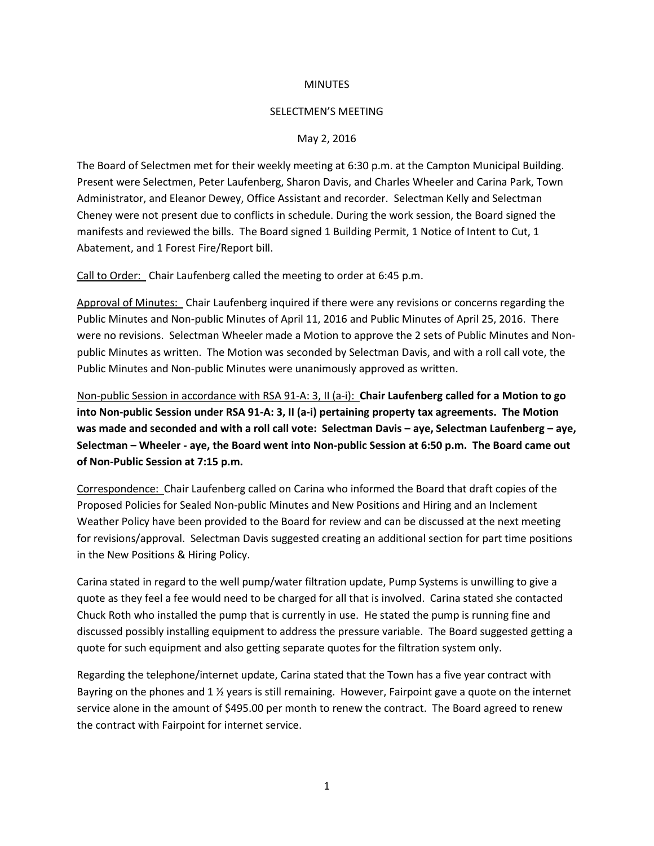## **MINUTES**

## SELECTMEN'S MEETING

## May 2, 2016

The Board of Selectmen met for their weekly meeting at 6:30 p.m. at the Campton Municipal Building. Present were Selectmen, Peter Laufenberg, Sharon Davis, and Charles Wheeler and Carina Park, Town Administrator, and Eleanor Dewey, Office Assistant and recorder. Selectman Kelly and Selectman Cheney were not present due to conflicts in schedule. During the work session, the Board signed the manifests and reviewed the bills. The Board signed 1 Building Permit, 1 Notice of Intent to Cut, 1 Abatement, and 1 Forest Fire/Report bill.

Call to Order: Chair Laufenberg called the meeting to order at 6:45 p.m.

Approval of Minutes: Chair Laufenberg inquired if there were any revisions or concerns regarding the Public Minutes and Non-public Minutes of April 11, 2016 and Public Minutes of April 25, 2016. There were no revisions. Selectman Wheeler made a Motion to approve the 2 sets of Public Minutes and Nonpublic Minutes as written. The Motion was seconded by Selectman Davis, and with a roll call vote, the Public Minutes and Non-public Minutes were unanimously approved as written.

Non-public Session in accordance with RSA 91-A: 3, II (a-i): **Chair Laufenberg called for a Motion to go into Non-public Session under RSA 91-A: 3, II (a-i) pertaining property tax agreements. The Motion was made and seconded and with a roll call vote: Selectman Davis – aye, Selectman Laufenberg – aye, Selectman – Wheeler - aye, the Board went into Non-public Session at 6:50 p.m. The Board came out of Non-Public Session at 7:15 p.m.**

Correspondence: Chair Laufenberg called on Carina who informed the Board that draft copies of the Proposed Policies for Sealed Non-public Minutes and New Positions and Hiring and an Inclement Weather Policy have been provided to the Board for review and can be discussed at the next meeting for revisions/approval. Selectman Davis suggested creating an additional section for part time positions in the New Positions & Hiring Policy.

Carina stated in regard to the well pump/water filtration update, Pump Systems is unwilling to give a quote as they feel a fee would need to be charged for all that is involved. Carina stated she contacted Chuck Roth who installed the pump that is currently in use. He stated the pump is running fine and discussed possibly installing equipment to address the pressure variable. The Board suggested getting a quote for such equipment and also getting separate quotes for the filtration system only.

Regarding the telephone/internet update, Carina stated that the Town has a five year contract with Bayring on the phones and 1 ½ years is still remaining. However, Fairpoint gave a quote on the internet service alone in the amount of \$495.00 per month to renew the contract. The Board agreed to renew the contract with Fairpoint for internet service.